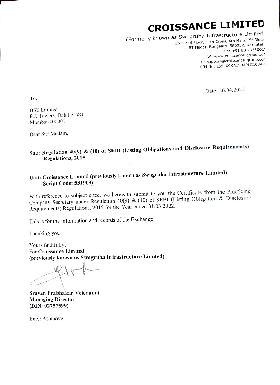# CROISSANCE LIMITED

(Formerly known as Swagruha Infrastructure Limited  $(10^{10} \text{ kg})^2$ 5 SWagrund Imruser accom<br>362, 2nd Floor, 11th Cross, 4th Main, 2<sup>nd</sup> Block ng Floor, Itali Srossy, Kao 22, Karnatak<br>RT Nagar, Bengaluru 560032, Karnatak Ph: +91 80 2333001' W: www.croissance-group. cor E: support@croissance-group.Cor CIN No: LSS100KA1994PLC10347!

Date: 26.04.2022

To

BSE Limited P.J. Towers. Dalal Strect Mumbai-400001

Dear Sit/ Madam,

# Sub: Regulation 40(9) & (10) of SEBI (Listing Obligations and Disclosure Requirements) Regulations, 2015.

## Unit: Croissance Limited (previously known as Swagruha Infrastructure Limited) (Script Code: 531909)

With reference to subject cited, we herewith submit to you the Certificate from the Practicing Company Secretary under Regulation 40(9) & (10) of SEBI (Listing Obligation & Disclosure Requirements) Regulations, 2015 for the Year ended 31.03.2022.

This is for the information and records of the Exchange.

Thanking you

Yours faithfully, For Croissance Limited (previously known as Swagruha Infrastructure Limited)

 $\sim$  1

Sravan Prabhakar Veledandi Managing Director (DIN: 02757599)

Encl: As above